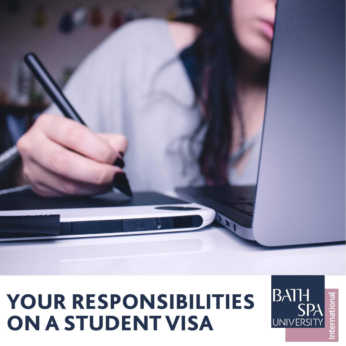# YOUR RESPONSIBILITIES ON A STUDENT VISA

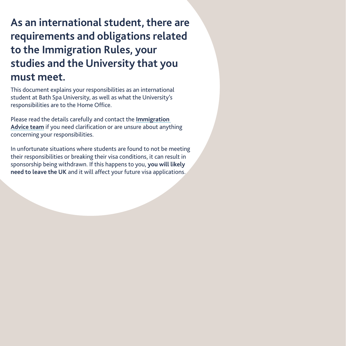**As an international student, there are requirements and obligations related to the Immigration Rules, your studies and the University that you must meet.**

This document explains your responsibilities as an international student at Bath Spa University, as well as what the University's responsibilities are to the Home Office.

Please read the details carefully and contact the **[Immigration](https://www.bathspa.ac.uk/international/visas-and-immigration/)  [Advice team](https://www.bathspa.ac.uk/international/visas-and-immigration/)** if you need clarification or are unsure about anything concerning your responsibilities.

In unfortunate situations where students are found to not be meeting their responsibilities or breaking their visa conditions, it can result in sponsorship being withdrawn. If this happens to you, **you will likely need to leave the UK** and it will affect your future visa applications.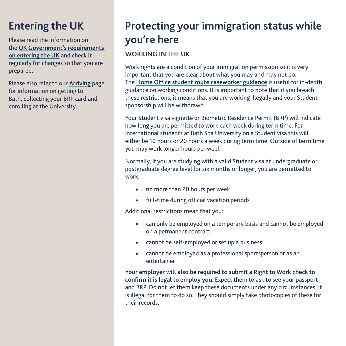# **Entering the UK**

Please read the information on the **[UK Government's requirements](https://www.gov.uk/uk-border-control/before-you-leave-for-the-uk)  [on entering the UK](https://www.gov.uk/uk-border-control/before-you-leave-for-the-uk)** and check it regularly for changes so that you are prepared.

Please also refer to our **[Arriving](https://www.bathspa.ac.uk/international/arriving/)** page for information on getting to Bath, collecting your BRP card and enrolling at the University.

# **Protecting your immigration status while you're here**

#### **WORKING IN THE UK**

Work rights are a condition of your immigration permission so it is very important that you are clear about what you may and may not do. The **[Home Office student route caseworker guidance](https://www.gov.uk/government/publications/points-based-system-student-route)** is useful for in-depth guidance on working conditions. It is important to note that if you breach these restrictions, it means that you are working illegally and your Student sponsorship will be withdrawn.

Your Student visa vignette or Biometric Residence Permit (BRP) will indicate how long you are permitted to work each week during term time. For international students at Bath Spa University on a Student visa this will either be 10 hours or 20 hours a week during term time. Outside of term time you may work longer hours per week.

Normally, if you are studying with a valid Student visa at undergraduate or postgraduate degree level for six months or longer, you are permitted to work:

- no more than 20 hours per week
- • full-time during official vacation periods

Additional restrictions mean that you:

- can only be employed on a temporary basis and cannot be employed on a permanent contract
- cannot be self-employed or set up a business
- cannot be employed as a professional sportsperson or as an entertainer

**Your employer will also be required to submit a Right to Work check to confirm it is legal to employ you.** Expect them to ask to see your passport and BRP. Do not let them keep these documents under any circumstances; it is illegal for them to do so. They should simply take photocopies of these for their records.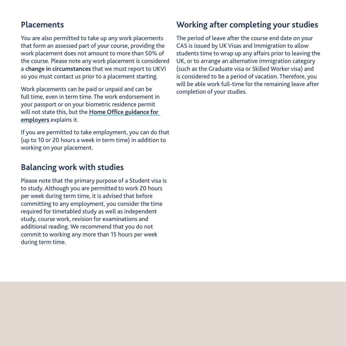### **Placements**

You are also permitted to take up any work placements that form an assessed part of your course, providing the work placement does not amount to more than 50% of the course. Please note any work placement is considered a **change in circumstances** that we must report to UKVI so you must contact us prior to a placement starting.

Work placements can be paid or unpaid and can be full time, even in term time. The work endorsement in your passport or on your biometric residence permit will not state this, but the **[Home Office guidance for](https://www.gov.uk/government/publications/right-to-work-checks-employers-guide)  [employers](https://www.gov.uk/government/publications/right-to-work-checks-employers-guide)** explains it.

If you are permitted to take employment, you can do that (up to 10 or 20 hours a week in term time) in addition to working on your placement.

## **Balancing work with studies**

Please note that the primary purpose of a Student visa is to study. Although you are permitted to work 20 hours per week during term time, it is advised that before committing to any employment, you consider the time required for timetabled study as well as independent study, course work, revision for examinations and additional reading. We recommend that you do not commit to working any more than 15 hours per week during term time.

### **Working after completing your studies**

The period of leave after the course end date on your CAS is issued by UK Visas and Immigration to allow students time to wrap up any affairs prior to leaving the UK, or to arrange an alternative immigration category (such as the Graduate visa or Skilled Worker visa) and is considered to be a period of vacation. Therefore, you will be able work full-time for the remaining leave after completion of your studies.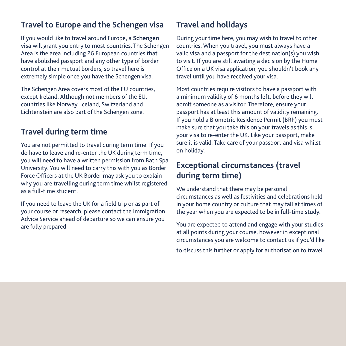### **Travel to Europe and the Schengen visa**

If you would like to travel around Europe, a **[Schengen](https://www.schengenvisainfo.com/schengen-visa-countries-list/)  [visa](https://www.schengenvisainfo.com/schengen-visa-countries-list/)** will grant you entry to most countries. The Schengen Area is the area including 26 European countries that have abolished passport and any other type of border control at their mutual borders, so travel here is extremely simple once you have the Schengen visa.

The Schengen Area covers most of the EU countries, except Ireland. Although not members of the EU, countries like Norway, Iceland, Switzerland and Lichtenstein are also part of the Schengen zone.

### **Travel during term time**

You are not permitted to travel during term time. If you do have to leave and re-enter the UK during term time, you will need to have a written permission from Bath Spa University. You will need to carry this with you as Border Force Officers at the UK Border may ask you to explain why you are travelling during term time whilst registered as a full-time student.

If you need to leave the UK for a field trip or as part of your course or research, please contact the Immigration Advice Service ahead of departure so we can ensure you are fully prepared.

# **Travel and holidays**

During your time here, you may wish to travel to other countries. When you travel, you must always have a valid visa and a passport for the destination(s) you wish to visit. If you are still awaiting a decision by the Home Office on a UK visa application, you shouldn't book any travel until you have received your visa.

Most countries require visitors to have a passport with a minimum validity of 6 months left, before they will admit someone as a visitor. Therefore, ensure your passport has at least this amount of validity remaining. If you hold a Biometric Residence Permit (BRP) you must make sure that you take this on your travels as this is your visa to re-enter the UK. Like your passport, make sure it is valid. Take care of your passport and visa whilst on holiday.

### **Exceptional circumstances (travel during term time)**

We understand that there may be personal circumstances as well as festivities and celebrations held in your home country or culture that may fall at times of the year when you are expected to be in full-time study.

You are expected to attend and engage with your studies at all points during your course, however in exceptional circumstances you are welcome to contact us if you'd like

to discuss this further or apply for authorisation to travel.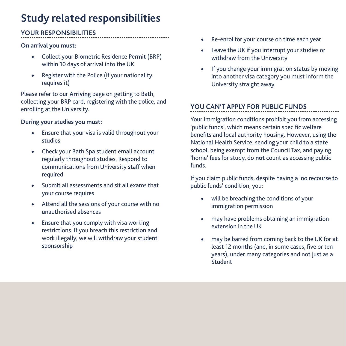# **Study related responsibilities**

#### **YOUR RESPONSIBILITIES**

#### **On arrival you must:**

- • Collect your Biometric Residence Permit (BRP) within 10 days of arrival into the UK
- Register with the Police (if your nationality requires it)

Please refer to our **[Arriving](https://www.bathspa.ac.uk/international/arriving/)** page on getting to Bath, collecting your BRP card, registering with the police, and enrolling at the University.

#### **During your studies you must:**

- Ensure that your visa is valid throughout your studies
- Check your Bath Spa student email account regularly throughout studies. Respond to communications from University staff when required
- Submit all assessments and sit all exams that your course requires
- Attend all the sessions of your course with no unauthorised absences
- Ensure that you comply with visa working restrictions. If you breach this restriction and work illegally, we will withdraw your student sponsorship
- • Re-enrol for your course on time each year
- Leave the UK if you interrupt your studies or withdraw from the University
- If you change your immigration status by moving into another visa category you must inform the University straight away

#### **YOU CAN'T APPLY FOR PUBLIC FUNDS**

Your immigration conditions prohibit you from accessing 'public funds', which means certain specific welfare benefits and local authority housing. However, using the National Health Service, sending your child to a state school, being exempt from the Council Tax, and paying 'home' fees for study, do **not** count as accessing public funds.

If you claim public funds, despite having a 'no recourse to public funds' condition, you:

- will be breaching the conditions of your immigration permission
- may have problems obtaining an immigration extension in the UK
- may be barred from coming back to the UK for at least 12 months (and, in some cases, five or ten years), under many categories and not just as a Student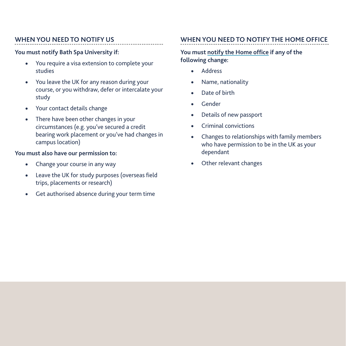#### **WHEN YOU NEED TO NOTIFY US**

#### **You must notify Bath Spa University if:**

- • You require a visa extension to complete your studies
- • You leave the UK for any reason during your course, or you withdraw, defer or intercalate your study
- • Your contact details change
- • There have been other changes in your circumstances (e.g. you've secured a credit bearing work placement or you've had changes in campus location)

#### **You must also have our permission to:**

- Change your course in any way
- • Leave the UK for study purposes (overseas field trips, placements or research)
- • Get authorised absence during your term time

#### **WHEN YOU NEED TO NOTIFY THE HOME OFFICE**

#### **You must [notify the Home office](https://www.gov.uk/change-circumstances-visa-brp) if any of the following change:**

- • Address
- • Name, nationality
- • Date of birth
- • Gender
- • Details of new passport
- Criminal convictions
- • Changes to relationships with family members who have permission to be in the UK as your dependant
- • Other relevant changes